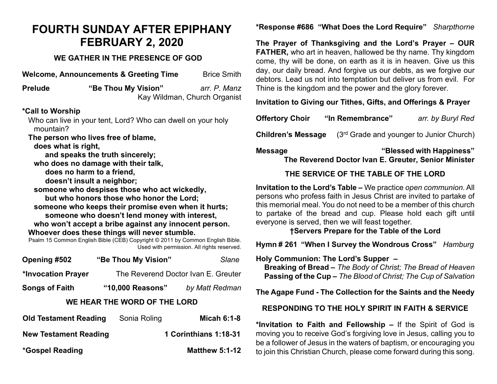# **FOURTH SUNDAY AFTER EPIPHANY FEBRUARY 2, 2020**

### **WE GATHER IN THE PRESENCE OF GOD**

**Welcome, Announcements & Greeting Time** Brice Smith **Prelude "Be Thou My Vision"** *arr. P. Manz* Kay Wildman, Church Organist **\*Call to Worship** Who can live in your tent, Lord? Who can dwell on your holy mountain? **The person who lives free of blame, does what is right, and speaks the truth sincerely; who does no damage with their talk, does no harm to a friend, doesn't insult a neighbor; someone who despises those who act wickedly, but who honors those who honor the Lord; someone who keeps their promise even when it hurts; someone who doesn't lend money with interest, who won't accept a bribe against any innocent person. Whoever does these things will never stumble.** Psalm 15 Common English Bible (CEB) Copyright © 2011 by Common English Bible. Used with permission. All rights reserved.

| Opening #502                 | "Be Thou My Vision"                 | Slane              |  |  |
|------------------------------|-------------------------------------|--------------------|--|--|
| *Invocation Prayer           | The Reverend Doctor Ivan E. Greuter |                    |  |  |
| <b>Songs of Faith</b>        | "10,000 Reasons"                    | by Matt Redman     |  |  |
| WE HEAR THE WORD OF THE LORD |                                     |                    |  |  |
| <b>Old Testament Reading</b> | Sonia Roling                        | <b>Micah 6:1-8</b> |  |  |

| <b>New Testament Reading</b> | 1 Corinthians 1:18-31 |
|------------------------------|-----------------------|
| *Gospel Reading              | <b>Matthew 5:1-12</b> |

# **\*Response #686 "What Does the Lord Require"** *Sharpthorne*

**The Prayer of Thanksgiving and the Lord's Prayer – OUR FATHER,** who art in heaven, hallowed be thy name. Thy kingdom come, thy will be done, on earth as it is in heaven. Give us this day, our daily bread. And forgive us our debts, as we forgive our debtors. Lead us not into temptation but deliver us from evil. For Thine is the kingdom and the power and the glory forever.

**Invitation to Giving our Tithes, Gifts, and Offerings & Prayer**

| <b>Offertory Choir</b> | "In Remembrance" | arr. by Buryl Red |
|------------------------|------------------|-------------------|
|                        |                  |                   |

**Children's Message** (3<sup>rd</sup> Grade and younger to Junior Church)

**Message "Blessed with Happiness"** 

 **The Reverend Doctor Ivan E. Greuter, Senior Minister**

## **THE SERVICE OF THE TABLE OF THE LORD**

**Invitation to the Lord's Table –** We practice *open communion*. All persons who profess faith in Jesus Christ are invited to partake of this memorial meal. You do not need to be a member of this church to partake of the bread and cup. Please hold each gift until everyone is served, then we will feast together.

### **†Servers Prepare for the Table of the Lord**

**Hymn # 261 "When I Survey the Wondrous Cross"** *Hamburg*

**Holy Communion: The Lord's Supper – Breaking of Bread –** *The Body of Christ; The Bread of Heaven*  **Passing of the Cup –** *The Blood of Christ; The Cup of Salvation*

#### **The Agape Fund - The Collection for the Saints and the Needy**

#### **RESPONDING TO THE HOLY SPIRIT IN FAITH & SERVICE**

**\*Invitation to Faith and Fellowship –** If the Spirit of God is moving you to receive God's forgiving love in Jesus, calling you to be a follower of Jesus in the waters of baptism, or encouraging you to join this Christian Church, please come forward during this song.